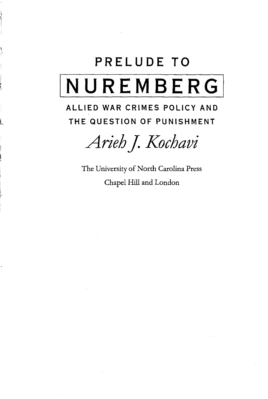## **PRELUDE TO NUREMBERG**

## **ALLIED WAR CRIMES POLICY AND THE QUESTION OF PUNISHMENT**

*AriehJ. Kochavi*

The University of North Carolina Press Chapel Hill and London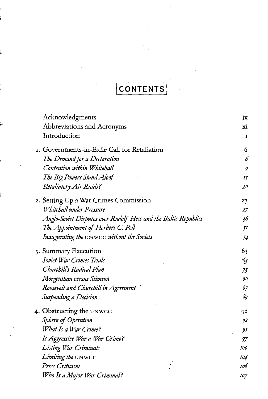## **CONTENTS**

| Acknowledgments                                                 | ix             |
|-----------------------------------------------------------------|----------------|
| Abbreviations and Acronyms                                      | хi             |
| Introduction                                                    | I              |
| I. Governments-in-Exile Call for Retaliation                    | 6              |
| The Demand for a Declaration                                    | 6              |
| Contention within Whitehall                                     | 9              |
| The Big Powers Stand Aloof                                      | IJ             |
| Retaliatory Air Raids?                                          | 20             |
| 2. Setting Up a War Crimes Commission                           | 27             |
| Whitehall under Pressure                                        | 27             |
| Anglo-Soviet Disputes over Rudolf Hess and the Baltic Republics | 36             |
| The Appointment of Herbert C. Pell                              | ſI             |
| Inaugurating the UNWCC without the Soviets                      | 54             |
| 3. Summary Execution                                            | 6 <sub>3</sub> |
| Soviet War Crimes Trials                                        | -63            |
| Churchill's Radical Plan                                        | 73             |
| Morgenthau versus Stimson                                       | 80             |
| Roosevelt and Churchill in Agreement                            | 87             |
| Suspending a Decision                                           | 89             |
| 4. Obstructing the UNWCC                                        | 92             |
| Sphere of Operation                                             | 92             |
| What Is a War Crime?                                            | 95             |
| Is Aggressive War a War Crime?                                  | 97             |
| Listing War Criminals                                           | <b>I00</b>     |
| Limiting the UNWCC                                              | 104            |
| Press Criticism                                                 | 106            |
| Who Is a Major War Criminal?                                    | <i>107</i>     |